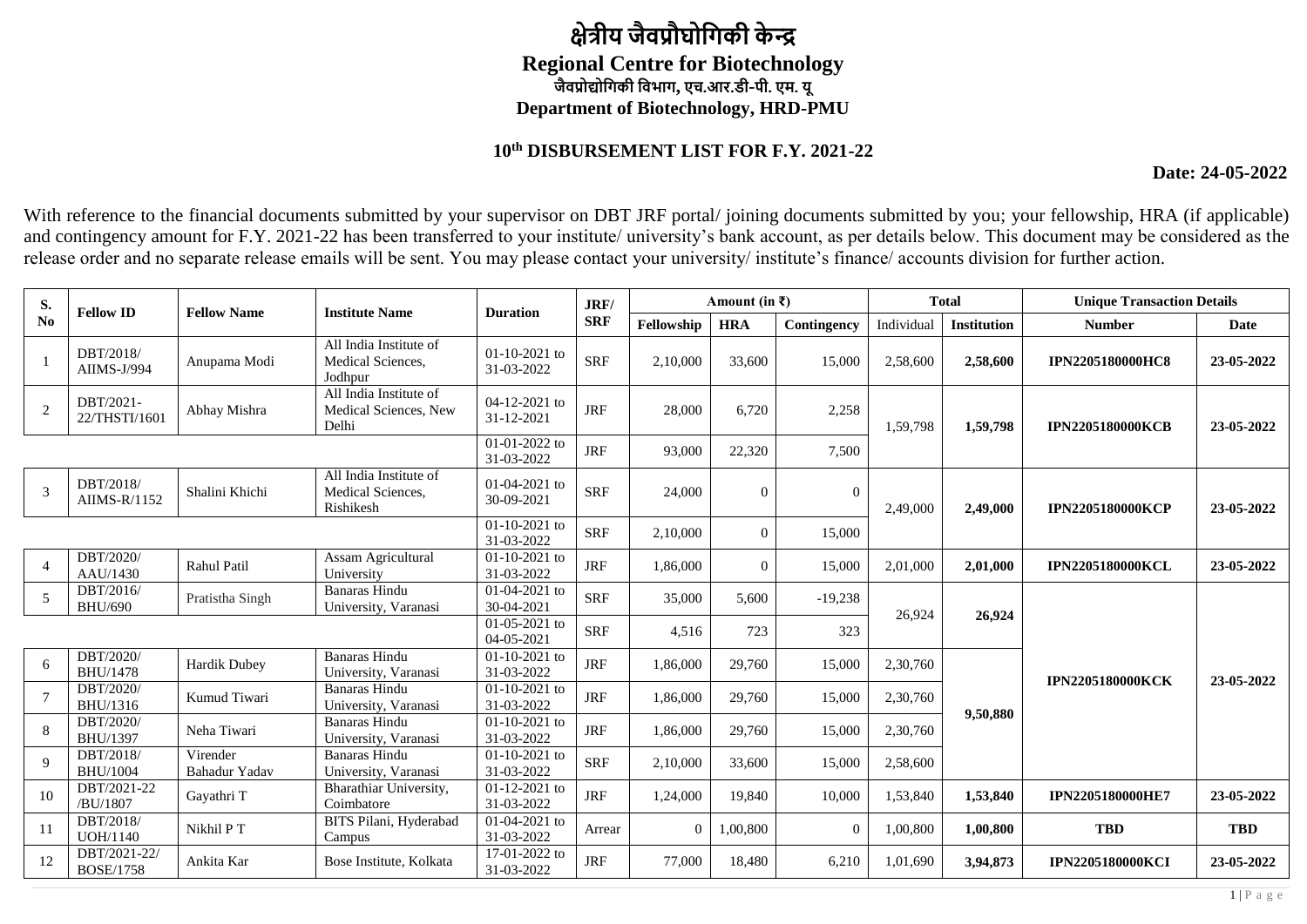## **क्षेत्रीय जैवप्रौघोगिकी के न्द्र Regional Centre for Biotechnology जैवप्रोद्योगिकी गवभाि, एच.आर.डी-पी. एम. यू Department of Biotechnology, HRD-PMU**

## **10th DISBURSEMENT LIST FOR F.Y. 2021-22**

**Date: 24-05-2022**

With reference to the financial documents submitted by your supervisor on DBT JRF portal/joining documents submitted by you; your fellowship, HRA (if applicable) and contingency amount for F.Y. 2021-22 has been transferred to your institute/ university's bank account, as per details below. This document may be considered as the release order and no separate release emails will be sent. You may please contact your university/ institute's finance/ accounts division for further action.

| S.             | <b>Fellow ID</b>                 | <b>Fellow Name</b>        | <b>Institute Name</b>                                    | <b>Duration</b>               | JRF/       |                | Amount (in $\bar{x}$ ) |                |            | <b>Total</b>       | <b>Unique Transaction Details</b> |             |
|----------------|----------------------------------|---------------------------|----------------------------------------------------------|-------------------------------|------------|----------------|------------------------|----------------|------------|--------------------|-----------------------------------|-------------|
| No             |                                  |                           |                                                          |                               | <b>SRF</b> | Fellowship     | <b>HRA</b>             | Contingency    | Individual | <b>Institution</b> | <b>Number</b>                     | <b>Date</b> |
| $\mathbf{1}$   | DBT/2018/<br>AIIMS-J/994         | Anupama Modi              | All India Institute of<br>Medical Sciences.<br>Jodhpur   | $01-10-2021$ to<br>31-03-2022 | <b>SRF</b> | 2,10,000       | 33,600                 | 15,000         | 2,58,600   | 2,58,600           | <b>IPN2205180000HC8</b>           | 23-05-2022  |
| $\sqrt{2}$     | DBT/2021-<br>22/THSTI/1601       | Abhay Mishra              | All India Institute of<br>Medical Sciences, New<br>Delhi | 04-12-2021 to<br>31-12-2021   | <b>JRF</b> | 28,000         | 6,720                  | 2,258          | 1,59,798   | 1,59,798           | <b>IPN2205180000KCB</b>           | 23-05-2022  |
|                |                                  |                           |                                                          | 01-01-2022 to<br>31-03-2022   | <b>JRF</b> | 93,000         | 22,320                 | 7,500          |            |                    |                                   |             |
| 3              | DBT/2018/<br>AIIMS-R/1152        | Shalini Khichi            | All India Institute of<br>Medical Sciences,<br>Rishikesh | $01-04-2021$ to<br>30-09-2021 | <b>SRF</b> | 24,000         | $\Omega$               | $\Omega$       | 2,49,000   | 2.49,000           | <b>IPN2205180000KCP</b>           | 23-05-2022  |
|                |                                  |                           |                                                          | $01-10-2021$ to<br>31-03-2022 | <b>SRF</b> | 2,10,000       | $\overline{0}$         | 15,000         |            |                    |                                   |             |
| $\overline{4}$ | DBT/2020/<br>AAU/1430            | Rahul Patil               | Assam Agricultural<br>University                         | $01-10-2021$ to<br>31-03-2022 | <b>JRF</b> | 1,86,000       | $\overline{0}$         | 15,000         | 2,01,000   | 2,01,000           | <b>IPN2205180000KCL</b>           | 23-05-2022  |
| 5              | DBT/2016/<br><b>BHU/690</b>      | Pratistha Singh           | <b>Banaras Hindu</b><br>University, Varanasi             | $01-04-2021$ to<br>30-04-2021 | <b>SRF</b> | 35,000         | 5,600                  | $-19,238$      | 26,924     | 26,924             |                                   |             |
|                |                                  |                           |                                                          | 01-05-2021 to<br>04-05-2021   | <b>SRF</b> | 4,516          | 723                    | 323            |            |                    |                                   |             |
| 6              | DBT/2020/<br><b>BHU/1478</b>     | <b>Hardik Dubey</b>       | <b>Banaras Hindu</b><br>University, Varanasi             | 01-10-2021 to<br>31-03-2022   | <b>JRF</b> | 1,86,000       | 29,760                 | 15,000         | 2,30,760   |                    | <b>IPN2205180000KCK</b>           | 23-05-2022  |
| $\overline{7}$ | DBT/2020/<br>BHU/1316            | Kumud Tiwari              | <b>Banaras Hindu</b><br>University, Varanasi             | $01-10-2021$ to<br>31-03-2022 | <b>JRF</b> | 1,86,000       | 29,760                 | 15,000         | 2,30,760   | 9,50,880           |                                   |             |
| 8              | DBT/2020/<br>BHU/1397            | Neha Tiwari               | <b>Banaras Hindu</b><br>University, Varanasi             | $01-10-2021$ to<br>31-03-2022 | $\rm JRF$  | 1,86,000       | 29,760                 | 15,000         | 2,30,760   |                    |                                   |             |
| 9              | DBT/2018/<br><b>BHU/1004</b>     | Virender<br>Bahadur Yadav | <b>Banaras Hindu</b><br>University, Varanasi             | $01-10-2021$ to<br>31-03-2022 | <b>SRF</b> | 2,10,000       | 33,600                 | 15,000         | 2,58,600   |                    |                                   |             |
| 10             | DBT/2021-22<br>/BU/1807          | Gayathri T                | Bharathiar University,<br>Coimbatore                     | $01-12-2021$ to<br>31-03-2022 | <b>JRF</b> | 1,24,000       | 19.840                 | 10,000         | 1,53,840   | 1,53,840           | <b>IPN2205180000HE7</b>           | 23-05-2022  |
| 11             | DBT/2018/<br>UOH/1140            | Nikhil P T                | BITS Pilani, Hyderabad<br>Campus                         | $01-04-2021$ to<br>31-03-2022 | Arrear     | $\overline{0}$ | 1,00,800               | $\overline{0}$ | 1,00,800   | 1,00,800           | <b>TBD</b>                        | <b>TBD</b>  |
| 12             | DBT/2021-22/<br><b>BOSE/1758</b> | Ankita Kar                | Bose Institute, Kolkata                                  | 17-01-2022 to<br>31-03-2022   | <b>JRF</b> | 77,000         | 18,480                 | 6,210          | 1,01,690   | 3,94,873           | <b>IPN2205180000KCI</b>           | 23-05-2022  |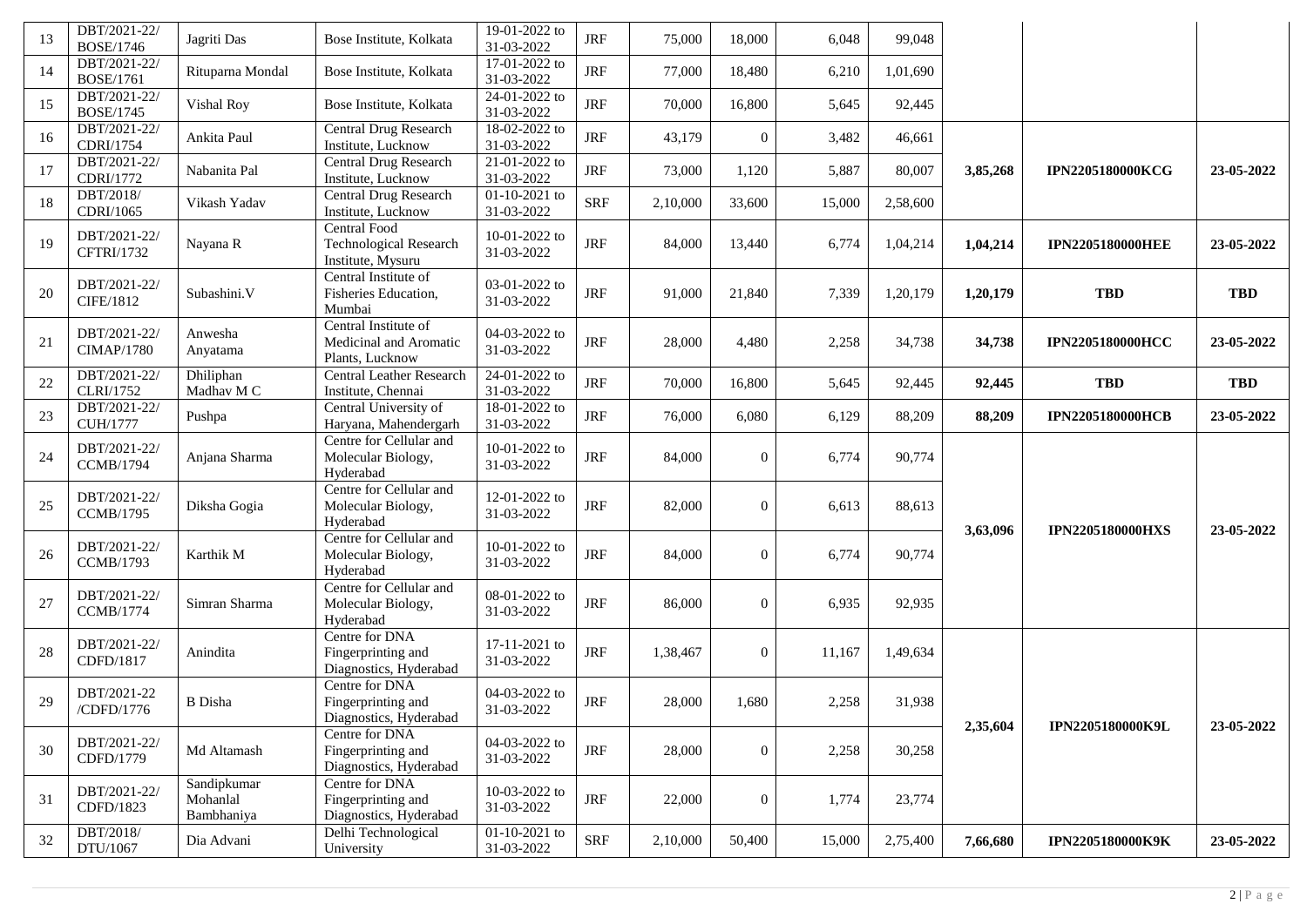| 13 | DBT/2021-22/<br><b>BOSE/1746</b>  | Jagriti Das                           | Bose Institute, Kolkata                                            | 19-01-2022 to<br>31-03-2022              | <b>JRF</b>  | 75,000   | 18,000           | 6,048  | 99,048   |          |                         |            |
|----|-----------------------------------|---------------------------------------|--------------------------------------------------------------------|------------------------------------------|-------------|----------|------------------|--------|----------|----------|-------------------------|------------|
| 14 | DBT/2021-22/<br><b>BOSE/1761</b>  | Rituparna Mondal                      | Bose Institute, Kolkata                                            | 17-01-2022 to<br>31-03-2022              | <b>JRF</b>  | 77,000   | 18,480           | 6,210  | 1,01,690 |          |                         |            |
| 15 | DBT/2021-22/<br><b>BOSE/1745</b>  | Vishal Roy                            | Bose Institute, Kolkata                                            | 24-01-2022 to<br>31-03-2022              | <b>JRF</b>  | 70,000   | 16,800           | 5,645  | 92,445   |          |                         |            |
| 16 | DBT/2021-22/<br>CDRI/1754         | Ankita Paul                           | Central Drug Research<br>Institute, Lucknow                        | 18-02-2022 to<br>31-03-2022              | <b>JRF</b>  | 43,179   | $\boldsymbol{0}$ | 3,482  | 46,661   |          |                         |            |
| 17 | DBT/2021-22/<br>CDRI/1772         | Nabanita Pal                          | <b>Central Drug Research</b><br>Institute, Lucknow                 | 21-01-2022 to<br>31-03-2022              | <b>JRF</b>  | 73,000   | 1,120            | 5,887  | 80,007   | 3,85,268 | <b>IPN2205180000KCG</b> | 23-05-2022 |
| 18 | DBT/2018/<br>CDRI/1065            | Vikash Yadav                          | Central Drug Research<br>Institute, Lucknow                        | 01-10-2021 to<br>31-03-2022              | <b>SRF</b>  | 2,10,000 | 33,600           | 15,000 | 2,58,600 |          |                         |            |
| 19 | DBT/2021-22/<br>CFTRI/1732        | Nayana R                              | Central Food<br><b>Technological Research</b><br>Institute, Mysuru | 10-01-2022 to<br>31-03-2022              | <b>JRF</b>  | 84,000   | 13,440           | 6,774  | 1,04,214 | 1,04,214 | <b>IPN2205180000HEE</b> | 23-05-2022 |
| 20 | DBT/2021-22/<br>CIFE/1812         | Subashini.V                           | Central Institute of<br>Fisheries Education,<br>Mumbai             | 03-01-2022 to<br>31-03-2022              | $\rm JRF$   | 91,000   | 21,840           | 7,339  | 1,20,179 | 1,20,179 | <b>TBD</b>              | <b>TBD</b> |
| 21 | DBT/2021-22/<br><b>CIMAP/1780</b> | Anwesha<br>Anyatama                   | Central Institute of<br>Medicinal and Aromatic<br>Plants, Lucknow  | 04-03-2022 to<br>31-03-2022              | <b>JRF</b>  | 28,000   | 4,480            | 2,258  | 34,738   | 34,738   | <b>IPN2205180000HCC</b> | 23-05-2022 |
| 22 | DBT/2021-22/<br><b>CLRI/1752</b>  | Dhiliphan<br>Madhav M C               | <b>Central Leather Research</b><br>Institute, Chennai              | 24-01-2022 to<br>31-03-2022              | <b>JRF</b>  | 70,000   | 16,800           | 5,645  | 92,445   | 92,445   | <b>TBD</b>              | <b>TBD</b> |
| 23 | DBT/2021-22/<br><b>CUH/1777</b>   | Pushpa                                | Central University of<br>Haryana, Mahendergarh                     | 18-01-2022 to<br>31-03-2022              | <b>JRF</b>  | 76,000   | 6,080            | 6,129  | 88,209   | 88,209   | <b>IPN2205180000HCB</b> | 23-05-2022 |
| 24 | DBT/2021-22/<br><b>CCMB/1794</b>  | Anjana Sharma                         | Centre for Cellular and<br>Molecular Biology,<br>Hyderabad         | 10-01-2022 to<br>31-03-2022              | <b>JRF</b>  | 84,000   | $\overline{0}$   | 6,774  | 90,774   |          |                         |            |
| 25 | DBT/2021-22/<br><b>CCMB/1795</b>  | Diksha Gogia                          | Centre for Cellular and<br>Molecular Biology,<br>Hyderabad         | 12-01-2022 to<br>31-03-2022              | <b>JRF</b>  | 82,000   | $\overline{0}$   | 6,613  | 88,613   |          |                         |            |
| 26 | DBT/2021-22/<br><b>CCMB/1793</b>  | Karthik M                             | Centre for Cellular and<br>Molecular Biology,<br>Hyderabad         | 10-01-2022 to<br>31-03-2022              | <b>JRF</b>  | 84,000   | $\overline{0}$   | 6,774  | 90,774   | 3,63,096 | <b>IPN2205180000HXS</b> | 23-05-2022 |
| 27 | DBT/2021-22/<br><b>CCMB/1774</b>  | Simran Sharma                         | Centre for Cellular and<br>Molecular Biology,<br>Hyderabad         | 08-01-2022 to<br>31-03-2022              | <b>JRF</b>  | 86,000   | $\overline{0}$   | 6,935  | 92,935   |          |                         |            |
| 28 | DBT/2021-22/<br>CDFD/1817         | Anindita                              | Centre for DNA<br>Fingerprinting and<br>Diagnostics, Hyderabad     | 17-11-2021 to<br>31-03-2022              | <b>JRF</b>  | 1,38,467 | $\overline{0}$   | 11,167 | 1,49,634 |          |                         |            |
| 29 | DBT/2021-22<br>/CDFD/1776         | <b>B</b> Disha                        | Centre for DNA<br>Fingerprinting and<br>Diagnostics, Hyderabad     | 04-03-2022 to<br>31-03-2022              | <b>JRF</b>  | 28,000   | 1,680            | 2,258  | 31,938   |          |                         |            |
| 30 | DBT/2021-22/<br>CDFD/1779         | Md Altamash                           | Centre for DNA<br>Fingerprinting and<br>Diagnostics, Hyderabad     | 04-03-2022 to<br>31-03-2022              | <b>JRF</b>  | 28,000   | $\overline{0}$   | 2,258  | 30,258   | 2,35,604 | IPN2205180000K9L        | 23-05-2022 |
| 31 | DBT/2021-22/<br>CDFD/1823         | Sandipkumar<br>Mohanlal<br>Bambhaniya | Centre for DNA<br>Fingerprinting and<br>Diagnostics, Hyderabad     | $10-03-2022$ to<br>31-03-2022            | <b>JRF</b>  | 22,000   | $\overline{0}$   | 1,774  | 23,774   |          |                         |            |
| 32 | DBT/2018/<br>DTU/1067             | Dia Advani                            | Delhi Technological<br>University                                  | $\overline{01-10-2021}$ to<br>31-03-2022 | ${\rm SRF}$ | 2,10,000 | 50,400           | 15,000 | 2,75,400 | 7,66,680 | IPN2205180000K9K        | 23-05-2022 |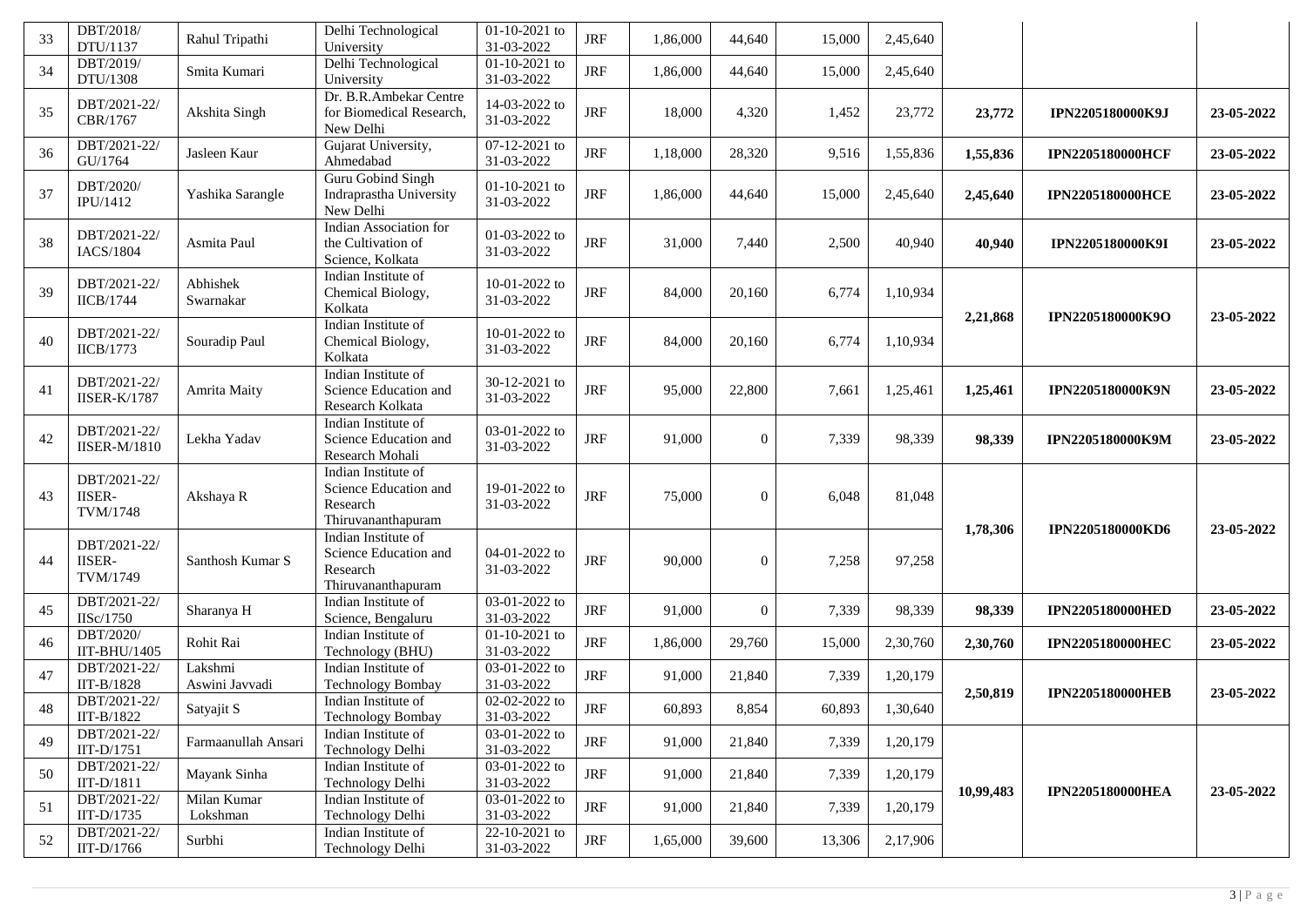| 33 | DBT/2018/<br>DTU/1137                     | Rahul Tripathi            | Delhi Technological<br>University                                              | $01-10-2021$ to<br>31-03-2022 | <b>JRF</b> | 1,86,000 | 44,640   | 15,000 | 2,45,640 |           |                         |            |
|----|-------------------------------------------|---------------------------|--------------------------------------------------------------------------------|-------------------------------|------------|----------|----------|--------|----------|-----------|-------------------------|------------|
| 34 | DBT/2019/<br>DTU/1308                     | Smita Kumari              | Delhi Technological<br>University                                              | $01-10-2021$ to<br>31-03-2022 | <b>JRF</b> | 1,86,000 | 44,640   | 15,000 | 2,45,640 |           |                         |            |
| 35 | DBT/2021-22/<br>CBR/1767                  | Akshita Singh             | Dr. B.R.Ambekar Centre<br>for Biomedical Research,<br>New Delhi                | 14-03-2022 to<br>31-03-2022   | <b>JRF</b> | 18,000   | 4,320    | 1,452  | 23,772   | 23,772    | IPN2205180000K9J        | 23-05-2022 |
| 36 | DBT/2021-22/<br>GU/1764                   | Jasleen Kaur              | Gujarat University,<br>Ahmedabad                                               | 07-12-2021 to<br>31-03-2022   | <b>JRF</b> | 1,18,000 | 28,320   | 9,516  | 1,55,836 | 1,55,836  | <b>IPN2205180000HCF</b> | 23-05-2022 |
| 37 | DBT/2020/<br>IPU/1412                     | Yashika Sarangle          | Guru Gobind Singh<br>Indraprastha University<br>New Delhi                      | 01-10-2021 to<br>31-03-2022   | <b>JRF</b> | 1,86,000 | 44,640   | 15,000 | 2,45,640 | 2,45,640  | <b>IPN2205180000HCE</b> | 23-05-2022 |
| 38 | DBT/2021-22/<br>IACS/1804                 | Asmita Paul               | Indian Association for<br>the Cultivation of<br>Science, Kolkata               | 01-03-2022 to<br>31-03-2022   | <b>JRF</b> | 31,000   | 7,440    | 2,500  | 40,940   | 40,940    | <b>IPN2205180000K9I</b> | 23-05-2022 |
| 39 | DBT/2021-22/<br><b>IICB/1744</b>          | Abhishek<br>Swarnakar     | Indian Institute of<br>Chemical Biology,<br>Kolkata                            | $10-01-2022$ to<br>31-03-2022 | <b>JRF</b> | 84,000   | 20,160   | 6,774  | 1,10,934 | 2,21,868  | IPN2205180000K9O        | 23-05-2022 |
| 40 | DBT/2021-22/<br><b>IICB/1773</b>          | Souradip Paul             | Indian Institute of<br>Chemical Biology,<br>Kolkata                            | 10-01-2022 to<br>31-03-2022   | <b>JRF</b> | 84,000   | 20,160   | 6,774  | 1,10,934 |           |                         |            |
| 41 | DBT/2021-22/<br><b>IISER-K/1787</b>       | Amrita Maity              | Indian Institute of<br>Science Education and<br>Research Kolkata               | 30-12-2021 to<br>31-03-2022   | <b>JRF</b> | 95,000   | 22,800   | 7,661  | 1,25,461 | 1,25,461  | IPN2205180000K9N        | 23-05-2022 |
| 42 | DBT/2021-22/<br><b>IISER-M/1810</b>       | Lekha Yadav               | Indian Institute of<br>Science Education and<br>Research Mohali                | 03-01-2022 to<br>31-03-2022   | <b>JRF</b> | 91,000   | $\Omega$ | 7,339  | 98,339   | 98,339    | <b>IPN2205180000K9M</b> | 23-05-2022 |
| 43 | DBT/2021-22/<br><b>IISER-</b><br>TVM/1748 | Akshaya R                 | Indian Institute of<br>Science Education and<br>Research<br>Thiruvananthapuram | 19-01-2022 to<br>31-03-2022   | <b>JRF</b> | 75,000   | $\Omega$ | 6,048  | 81,048   |           |                         |            |
| 44 | DBT/2021-22/<br><b>IISER-</b><br>TVM/1749 | Santhosh Kumar S          | Indian Institute of<br>Science Education and<br>Research<br>Thiruvananthapuram | 04-01-2022 to<br>31-03-2022   | <b>JRF</b> | 90,000   | $\Omega$ | 7,258  | 97,258   | 1,78,306  | IPN2205180000KD6        | 23-05-2022 |
| 45 | DBT/2021-22/<br>IISc/1750                 | Sharanya H                | Indian Institute of<br>Science, Bengaluru                                      | 03-01-2022 to<br>31-03-2022   | <b>JRF</b> | 91,000   | $\Omega$ | 7,339  | 98,339   | 98,339    | <b>IPN2205180000HED</b> | 23-05-2022 |
| 46 | DBT/2020/<br>IIT-BHU/1405                 | Rohit Rai                 | Indian Institute of<br>Technology (BHU)                                        | 01-10-2021 to<br>31-03-2022   | <b>JRF</b> | 1,86,000 | 29,760   | 15,000 | 2,30,760 | 2,30,760  | <b>IPN2205180000HEC</b> | 23-05-2022 |
| 47 | DBT/2021-22/<br>IIT-B/1828                | Lakshmi<br>Aswini Javvadi | Indian Institute of<br><b>Technology Bombay</b>                                | 03-01-2022 to<br>31-03-2022   | <b>JRF</b> | 91,000   | 21,840   | 7,339  | 1,20,179 |           |                         |            |
| 48 | DBT/2021-22/<br>IIT-B $/1822$             | Satyajit S                | Indian Institute of<br>Technology Bombay                                       | 02-02-2022 to<br>31-03-2022   | $\rm JRF$  | 60,893   | 8,854    | 60,893 | 1,30,640 | 2,50,819  | <b>IPN2205180000HEB</b> | 23-05-2022 |
| 49 | DBT/2021-22/<br>$IIT-D/1751$              | Farmaanullah Ansari       | Indian Institute of<br>Technology Delhi                                        | 03-01-2022 to<br>31-03-2022   | <b>JRF</b> | 91,000   | 21,840   | 7,339  | 1,20,179 |           |                         |            |
| 50 | DBT/2021-22/<br>$IIT-D/1811$              | Mayank Sinha              | Indian Institute of<br>Technology Delhi                                        | 03-01-2022 to<br>31-03-2022   | $\rm JRF$  | 91,000   | 21,840   | 7,339  | 1,20,179 |           |                         |            |
| 51 | DBT/2021-22/<br>$IIT-D/1735$              | Milan Kumar<br>Lokshman   | Indian Institute of<br>Technology Delhi                                        | 03-01-2022 to<br>31-03-2022   | JRF        | 91,000   | 21,840   | 7,339  | 1,20,179 | 10,99,483 | <b>IPN2205180000HEA</b> | 23-05-2022 |
| 52 | DBT/2021-22/<br>IIT-D/1766                | Surbhi                    | Indian Institute of<br>Technology Delhi                                        | 22-10-2021 to<br>31-03-2022   | JRF        | 1,65,000 | 39,600   | 13,306 | 2,17,906 |           |                         |            |
|    |                                           |                           |                                                                                |                               |            |          |          |        |          |           |                         |            |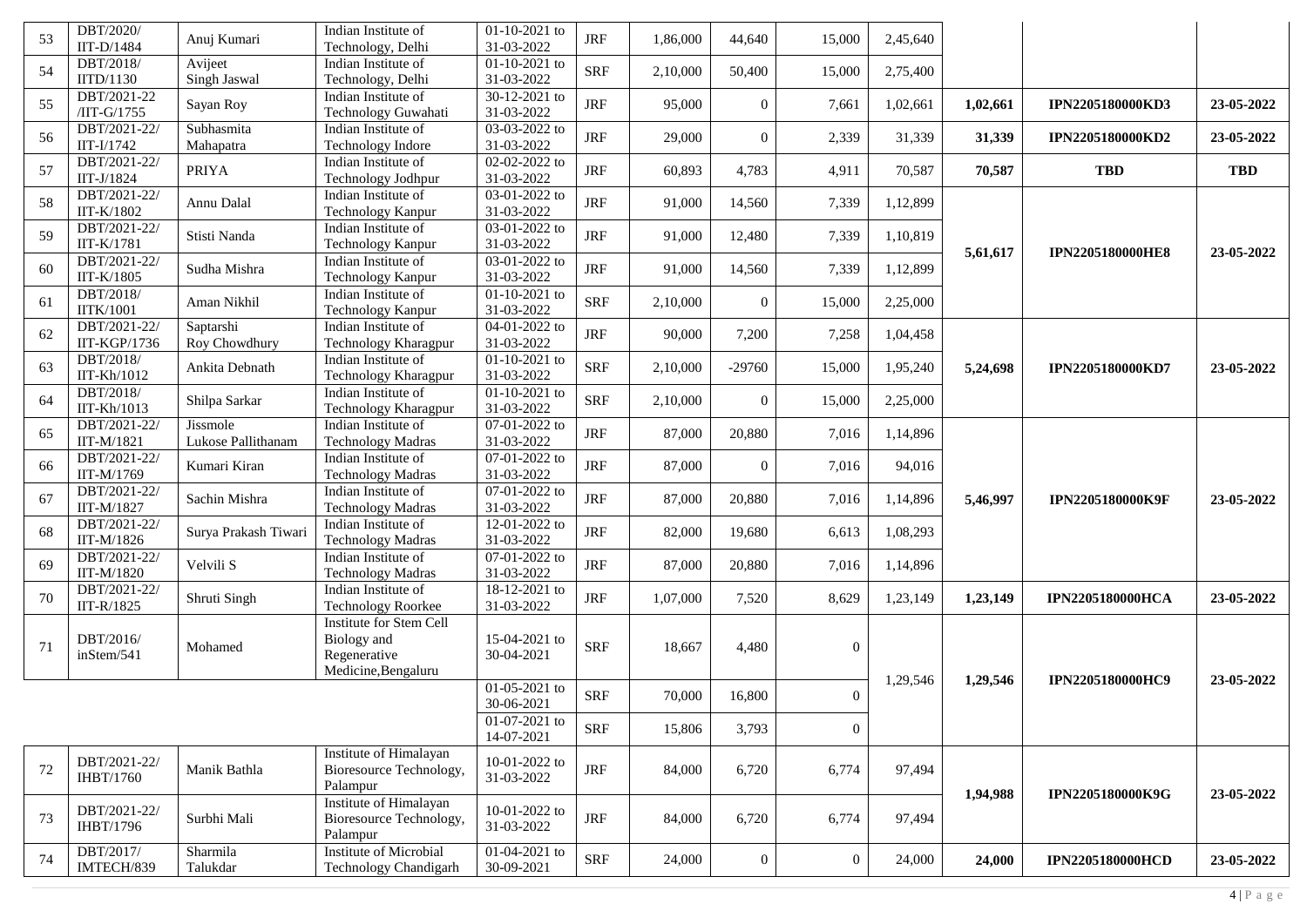| 53     | DBT/2020/<br>IIT-D/1484       | Anuj Kumari                    | Indian Institute of<br>Technology, Delhi                                             | $01-10-2021$ to<br>31-03-2022 | <b>JRF</b> | 1,86,000 | 44,640         | 15,000           | 2,45,640 |          |                         |            |
|--------|-------------------------------|--------------------------------|--------------------------------------------------------------------------------------|-------------------------------|------------|----------|----------------|------------------|----------|----------|-------------------------|------------|
| 54     | DBT/2018/<br>IITD/1130        | Avijeet<br>Singh Jaswal        | Indian Institute of<br>Technology, Delhi                                             | $01-10-2021$ to<br>31-03-2022 | <b>SRF</b> | 2,10,000 | 50,400         | 15,000           | 2,75,400 |          |                         |            |
| 55     | DBT/2021-22<br>/IIT-G/1755    | Sayan Roy                      | Indian Institute of<br>Technology Guwahati                                           | $30-12-2021$ to<br>31-03-2022 | <b>JRF</b> | 95,000   | $\Omega$       | 7,661            | 1,02,661 | 1,02,661 | IPN2205180000KD3        | 23-05-2022 |
| 56     | DBT/2021-22/<br>IIT-I/1742    | Subhasmita<br>Mahapatra        | Indian Institute of<br>Technology Indore                                             | 03-03-2022 to<br>31-03-2022   | <b>JRF</b> | 29,000   | $\theta$       | 2,339            | 31,339   | 31,339   | IPN2205180000KD2        | 23-05-2022 |
| 57     | DBT/2021-22/<br>IIT-J/1824    | <b>PRIYA</b>                   | Indian Institute of<br>Technology Jodhpur                                            | 02-02-2022 to<br>31-03-2022   | <b>JRF</b> | 60,893   | 4,783          | 4,911            | 70,587   | 70,587   | <b>TBD</b>              | <b>TBD</b> |
| 58     | DBT/2021-22/<br>IIT-K/1802    | Annu Dalal                     | Indian Institute of<br>Technology Kanpur                                             | 03-01-2022 to<br>31-03-2022   | <b>JRF</b> | 91,000   | 14,560         | 7,339            | 1,12,899 |          |                         |            |
| 59     | DBT/2021-22/<br>IIT-K/1781    | Stisti Nanda                   | Indian Institute of<br>Technology Kanpur                                             | $03-01-2022$ to<br>31-03-2022 | <b>JRF</b> | 91,000   | 12,480         | 7,339            | 1,10,819 |          |                         |            |
| 60     | DBT/2021-22/<br>IIT-K/1805    | Sudha Mishra                   | Indian Institute of<br>Technology Kanpur                                             | 03-01-2022 to<br>31-03-2022   | <b>JRF</b> | 91,000   | 14,560         | 7,339            | 1,12,899 | 5,61,617 | <b>IPN2205180000HE8</b> | 23-05-2022 |
| 61     | DBT/2018/<br><b>IITK/1001</b> | Aman Nikhil                    | Indian Institute of<br>Technology Kanpur                                             | 01-10-2021 to<br>31-03-2022   | <b>SRF</b> | 2,10,000 | $\overline{0}$ | 15,000           | 2,25,000 |          |                         |            |
| 62     | DBT/2021-22/<br>IIT-KGP/1736  | Saptarshi<br>Roy Chowdhury     | Indian Institute of<br>Technology Kharagpur                                          | 04-01-2022 to<br>31-03-2022   | <b>JRF</b> | 90,000   | 7,200          | 7,258            | 1,04,458 |          |                         |            |
| 63     | DBT/2018/<br>IIT-Kh/1012      | Ankita Debnath                 | Indian Institute of<br>Technology Kharagpur                                          | 01-10-2021 to<br>31-03-2022   | <b>SRF</b> | 2,10,000 | $-29760$       | 15,000           | 1,95,240 | 5,24,698 | IPN2205180000KD7        | 23-05-2022 |
| 64     | DBT/2018/<br>IIT-Kh/1013      | Shilpa Sarkar                  | Indian Institute of<br>Technology Kharagpur                                          | $01-10-2021$ to<br>31-03-2022 | <b>SRF</b> | 2,10,000 | $\Omega$       | 15,000           | 2,25,000 |          |                         |            |
| 65     | DBT/2021-22/<br>IIT-M/1821    | Jissmole<br>Lukose Pallithanam | Indian Institute of<br><b>Technology Madras</b>                                      | $07-01-2022$ to<br>31-03-2022 | <b>JRF</b> | 87,000   | 20,880         | 7,016            | 1,14,896 |          |                         |            |
| 66     | DBT/2021-22/<br>IIT-M/1769    | Kumari Kiran                   | Indian Institute of<br><b>Technology Madras</b>                                      | $07-01-2022$ to<br>31-03-2022 | <b>JRF</b> | 87,000   | $\Omega$       | 7,016            | 94,016   |          |                         |            |
| 67     | DBT/2021-22/<br>IIT-M/1827    | Sachin Mishra                  | Indian Institute of<br><b>Technology Madras</b>                                      | 07-01-2022 to<br>31-03-2022   | <b>JRF</b> | 87,000   | 20,880         | 7,016            | 1,14,896 | 5,46,997 | <b>IPN2205180000K9F</b> | 23-05-2022 |
| 68     | DBT/2021-22/<br>IIT-M/1826    | Surya Prakash Tiwari           | Indian Institute of<br><b>Technology Madras</b>                                      | 12-01-2022 to<br>31-03-2022   | <b>JRF</b> | 82,000   | 19,680         | 6,613            | 1,08,293 |          |                         |            |
| 69     | DBT/2021-22/<br>IIT-M/1820    | Velvili S                      | Indian Institute of<br><b>Technology Madras</b>                                      | 07-01-2022 to<br>31-03-2022   | <b>JRF</b> | 87,000   | 20,880         | 7,016            | 1,14,896 |          |                         |            |
| 70     | DBT/2021-22/<br>IIT-R/1825    | Shruti Singh                   | Indian Institute of<br>Technology Roorkee                                            | 18-12-2021 to<br>31-03-2022   | <b>JRF</b> | 1,07,000 | 7,520          | 8,629            | 1,23,149 | 1,23,149 | <b>IPN2205180000HCA</b> | 23-05-2022 |
| 71     | DBT/2016/<br>inStem/541       | Mohamed                        | <b>Institute for Stem Cell</b><br>Biology and<br>Regenerative<br>Medicine, Bengaluru | 15-04-2021 to<br>30-04-2021   | <b>SRF</b> | 18,667   | 4,480          | $\overline{0}$   |          |          |                         |            |
|        |                               |                                |                                                                                      | 01-05-2021 to<br>30-06-2021   | <b>SRF</b> | 70,000   | 16,800         | $\theta$         | 1,29,546 | 1,29,546 | IPN2205180000HC9        | 23-05-2022 |
|        |                               |                                |                                                                                      | 01-07-2021 to<br>14-07-2021   | <b>SRF</b> | 15,806   | 3,793          | $\boldsymbol{0}$ |          |          |                         |            |
| $72\,$ | DBT/2021-22/<br>IHBT/1760     | Manik Bathla                   | Institute of Himalayan<br>Bioresource Technology,<br>Palampur                        | 10-01-2022 to<br>31-03-2022   | $\rm JRF$  | 84,000   | 6,720          | 6,774            | 97,494   | 1,94,988 | IPN2205180000K9G        | 23-05-2022 |
| 73     | DBT/2021-22/<br>IHBT/1796     | Surbhi Mali                    | Institute of Himalayan<br>Bioresource Technology,<br>Palampur                        | 10-01-2022 to<br>31-03-2022   | $\rm JRF$  | 84,000   | 6,720          | 6,774            | 97,494   |          |                         |            |
| 74     | DBT/2017/<br>IMTECH/839       | Sharmila<br>Talukdar           | <b>Institute of Microbial</b><br>Technology Chandigarh                               | 01-04-2021 to<br>30-09-2021   | <b>SRF</b> | 24,000   | $\overline{0}$ | $\boldsymbol{0}$ | 24,000   | 24,000   | <b>IPN2205180000HCD</b> | 23-05-2022 |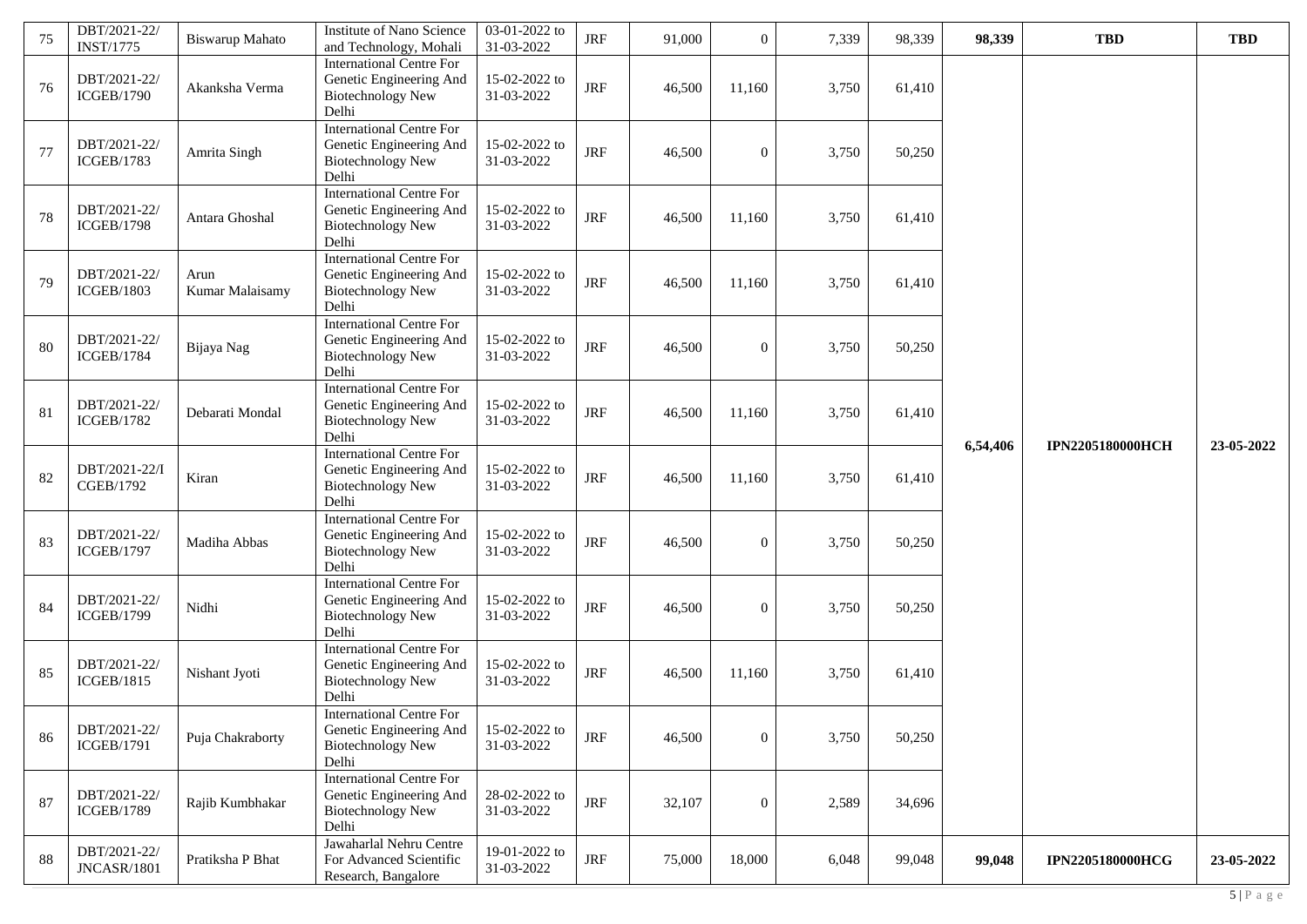| 75 | DBT/2021-22/<br><b>INST/1775</b>   | <b>Biswarup Mahato</b>  | Institute of Nano Science<br>and Technology, Mohali                                             | 03-01-2022 to<br>31-03-2022 | $\rm JRF$  | 91,000 | $\overline{0}$   | 7,339 | 98,339 | 98,339   | <b>TBD</b>              | <b>TBD</b> |
|----|------------------------------------|-------------------------|-------------------------------------------------------------------------------------------------|-----------------------------|------------|--------|------------------|-------|--------|----------|-------------------------|------------|
| 76 | DBT/2021-22/<br><b>ICGEB/1790</b>  | Akanksha Verma          | <b>International Centre For</b><br>Genetic Engineering And<br><b>Biotechnology New</b><br>Delhi | 15-02-2022 to<br>31-03-2022 | $\rm JRF$  | 46,500 | 11,160           | 3,750 | 61,410 |          |                         |            |
| 77 | DBT/2021-22/<br><b>ICGEB/1783</b>  | Amrita Singh            | <b>International Centre For</b><br>Genetic Engineering And<br><b>Biotechnology New</b><br>Delhi | 15-02-2022 to<br>31-03-2022 | <b>JRF</b> | 46,500 | $\overline{0}$   | 3,750 | 50,250 |          |                         |            |
| 78 | DBT/2021-22/<br><b>ICGEB/1798</b>  | Antara Ghoshal          | <b>International Centre For</b><br>Genetic Engineering And<br><b>Biotechnology New</b><br>Delhi | 15-02-2022 to<br>31-03-2022 | <b>JRF</b> | 46,500 | 11,160           | 3,750 | 61,410 |          |                         |            |
| 79 | DBT/2021-22/<br><b>ICGEB/1803</b>  | Arun<br>Kumar Malaisamy | <b>International Centre For</b><br>Genetic Engineering And<br><b>Biotechnology New</b><br>Delhi | 15-02-2022 to<br>31-03-2022 | $\rm JRF$  | 46,500 | 11,160           | 3,750 | 61,410 |          |                         |            |
| 80 | DBT/2021-22/<br><b>ICGEB/1784</b>  | Bijaya Nag              | <b>International Centre For</b><br>Genetic Engineering And<br><b>Biotechnology New</b><br>Delhi | 15-02-2022 to<br>31-03-2022 | $\rm JRF$  | 46,500 | $\overline{0}$   | 3,750 | 50,250 |          |                         |            |
| 81 | DBT/2021-22/<br><b>ICGEB/1782</b>  | Debarati Mondal         | <b>International Centre For</b><br>Genetic Engineering And<br><b>Biotechnology New</b><br>Delhi | 15-02-2022 to<br>31-03-2022 | $\rm JRF$  | 46,500 | 11,160           | 3,750 | 61,410 |          | <b>IPN2205180000HCH</b> | 23-05-2022 |
| 82 | DBT/2021-22/I<br>CGEB/1792         | Kiran                   | <b>International Centre For</b><br>Genetic Engineering And<br><b>Biotechnology New</b><br>Delhi | 15-02-2022 to<br>31-03-2022 | $\rm JRF$  | 46,500 | 11,160           | 3,750 | 61,410 | 6,54,406 |                         |            |
| 83 | DBT/2021-22/<br><b>ICGEB/1797</b>  | Madiha Abbas            | <b>International Centre For</b><br>Genetic Engineering And<br><b>Biotechnology New</b><br>Delhi | 15-02-2022 to<br>31-03-2022 | <b>JRF</b> | 46,500 | $\mathbf{0}$     | 3,750 | 50,250 |          |                         |            |
| 84 | DBT/2021-22/<br><b>ICGEB/1799</b>  | Nidhi                   | <b>International Centre For</b><br>Genetic Engineering And<br><b>Biotechnology New</b><br>Delhi | 15-02-2022 to<br>31-03-2022 | <b>JRF</b> | 46,500 | $\mathbf{0}$     | 3,750 | 50,250 |          |                         |            |
| 85 | DBT/2021-22/<br><b>ICGEB/1815</b>  | Nishant Jyoti           | <b>International Centre For</b><br>Genetic Engineering And<br><b>Biotechnology New</b><br>Delhi | 15-02-2022 to<br>31-03-2022 | <b>JRF</b> | 46,500 | 11,160           | 3,750 | 61,410 |          |                         |            |
| 86 | DBT/2021-22/<br><b>ICGEB/1791</b>  | Puja Chakraborty        | <b>International Centre For</b><br>Genetic Engineering And<br><b>Biotechnology New</b><br>Delhi | 15-02-2022 to<br>31-03-2022 | JRF        | 46,500 | $\boldsymbol{0}$ | 3,750 | 50,250 |          |                         |            |
| 87 | DBT/2021-22/<br><b>ICGEB/1789</b>  | Rajib Kumbhakar         | <b>International Centre For</b><br>Genetic Engineering And<br><b>Biotechnology New</b><br>Delhi | 28-02-2022 to<br>31-03-2022 | $\rm JRF$  | 32,107 | $\boldsymbol{0}$ | 2,589 | 34,696 |          |                         |            |
| 88 | DBT/2021-22/<br><b>JNCASR/1801</b> | Pratiksha P Bhat        | Jawaharlal Nehru Centre<br>For Advanced Scientific<br>Research, Bangalore                       | 19-01-2022 to<br>31-03-2022 | $\rm JRF$  | 75,000 | 18,000           | 6,048 | 99,048 | 99,048   | <b>IPN2205180000HCG</b> | 23-05-2022 |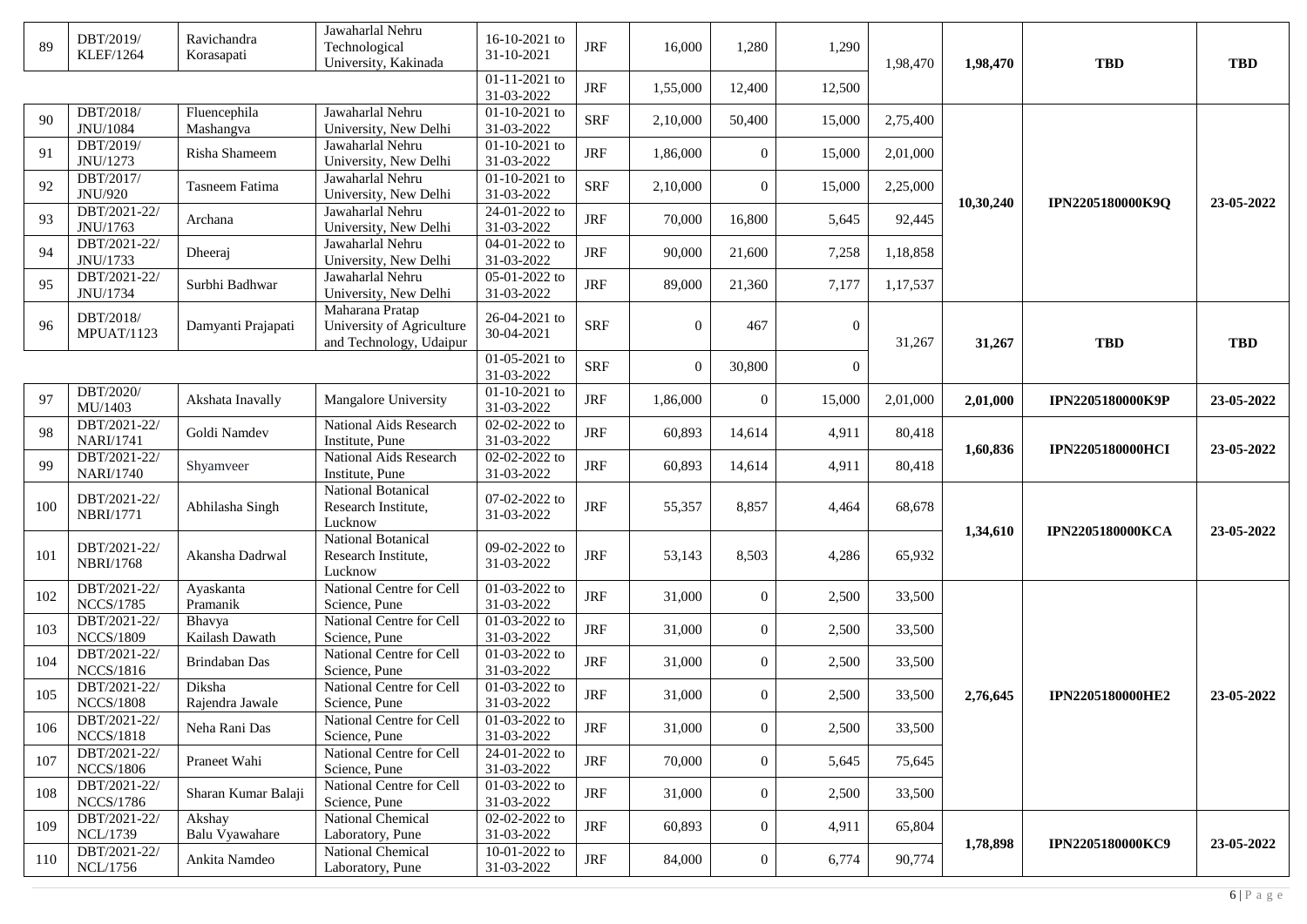| 89  | DBT/2019/<br><b>KLEF/1264</b>    | Ravichandra<br>Korasapati | Jawaharlal Nehru<br>Technological<br>University, Kakinada   | 16-10-2021 to<br>31-10-2021       | <b>JRF</b> | 16,000   | 1,280          | 1,290        | 1,98,470 | 1,98,470  | <b>TBD</b>              | <b>TBD</b> |
|-----|----------------------------------|---------------------------|-------------------------------------------------------------|-----------------------------------|------------|----------|----------------|--------------|----------|-----------|-------------------------|------------|
|     |                                  |                           |                                                             | 01-11-2021 to<br>31-03-2022       | <b>JRF</b> | 1,55,000 | 12,400         | 12,500       |          |           |                         |            |
| 90  | DBT/2018/<br>JNU/1084            | Fluencephila<br>Mashangva | Jawaharlal Nehru<br>University, New Delhi                   | 01-10-2021 to<br>31-03-2022       | <b>SRF</b> | 2,10,000 | 50,400         | 15,000       | 2,75,400 |           |                         |            |
| 91  | DBT/2019/<br>JNU/1273            | Risha Shameem             | Jawaharlal Nehru<br>University, New Delhi                   | $01 - 10 - 2021$ to<br>31-03-2022 | <b>JRF</b> | 1,86,000 | $\overline{0}$ | 15,000       | 2,01,000 |           |                         |            |
| 92  | DBT/2017/<br>JNU/920             | Tasneem Fatima            | Jawaharlal Nehru<br>University, New Delhi                   | 01-10-2021 to<br>31-03-2022       | <b>SRF</b> | 2,10,000 | $\overline{0}$ | 15,000       | 2,25,000 |           |                         |            |
| 93  | DBT/2021-22/<br>JNU/1763         | Archana                   | Jawaharlal Nehru<br>University, New Delhi                   | 24-01-2022 to<br>31-03-2022       | <b>JRF</b> | 70,000   | 16,800         | 5,645        | 92,445   | 10,30,240 | IPN2205180000K9Q        | 23-05-2022 |
| 94  | DBT/2021-22/                     | Dheeraj                   | Jawaharlal Nehru                                            | 04-01-2022 to<br>31-03-2022       | <b>JRF</b> | 90,000   | 21,600         | 7,258        | 1,18,858 |           |                         |            |
| 95  | JNU/1733<br>DBT/2021-22/         | Surbhi Badhwar            | University, New Delhi<br>Jawaharlal Nehru                   | 05-01-2022 to                     | <b>JRF</b> | 89,000   | 21,360         | 7,177        | 1,17,537 |           |                         |            |
|     | JNU/1734<br>DBT/2018/            |                           | University, New Delhi<br>Maharana Pratap                    | 31-03-2022<br>26-04-2021 to       |            |          |                |              |          |           |                         |            |
| 96  | <b>MPUAT/1123</b>                | Damyanti Prajapati        | University of Agriculture<br>and Technology, Udaipur        | 30-04-2021                        | <b>SRF</b> | $\Omega$ | 467            | $\mathbf{0}$ | 31,267   | 31,267    | <b>TBD</b>              | <b>TBD</b> |
|     |                                  |                           |                                                             | 01-05-2021 to<br>31-03-2022       | <b>SRF</b> | $\Omega$ | 30,800         | $\Omega$     |          |           |                         |            |
| 97  | DBT/2020/<br>MU/1403             | Akshata Inavally          | Mangalore University                                        | 01-10-2021 to<br>31-03-2022       | <b>JRF</b> | 1,86,000 | $\mathbf{0}$   | 15,000       | 2,01,000 | 2,01,000  | IPN2205180000K9P        | 23-05-2022 |
| 98  | DBT/2021-22/<br><b>NARI/1741</b> | Goldi Namdev              | National Aids Research<br>Institute, Pune                   | 02-02-2022 to<br>31-03-2022       | <b>JRF</b> | 60,893   | 14,614         | 4,911        | 80,418   |           |                         |            |
| 99  | DBT/2021-22/<br><b>NARI/1740</b> | Shyamveer                 | National Aids Research<br>Institute, Pune                   | $02 - 02 - 2022$ to<br>31-03-2022 | <b>JRF</b> | 60,893   | 14,614         | 4,911        | 80,418   | 1,60,836  | <b>IPN2205180000HCI</b> | 23-05-2022 |
| 100 | DBT/2021-22/<br>NBRI/1771        | Abhilasha Singh           | <b>National Botanical</b><br>Research Institute,<br>Lucknow | 07-02-2022 to<br>31-03-2022       | <b>JRF</b> | 55,357   | 8,857          | 4,464        | 68,678   |           | <b>IPN2205180000KCA</b> | 23-05-2022 |
| 101 | DBT/2021-22/<br><b>NBRI/1768</b> | Akansha Dadrwal           | National Botanical<br>Research Institute,<br>Lucknow        | 09-02-2022 to<br>31-03-2022       | <b>JRF</b> | 53,143   | 8,503          | 4,286        | 65,932   | 1,34,610  |                         |            |
| 102 | DBT/2021-22/<br><b>NCCS/1785</b> | Ayaskanta<br>Pramanik     | National Centre for Cell<br>Science, Pune                   | 01-03-2022 to<br>31-03-2022       | <b>JRF</b> | 31,000   | $\mathbf{0}$   | 2,500        | 33,500   |           |                         |            |
| 103 | DBT/2021-22/<br><b>NCCS/1809</b> | Bhavya<br>Kailash Dawath  | National Centre for Cell<br>Science, Pune                   | 01-03-2022 to<br>31-03-2022       | <b>JRF</b> | 31,000   | $\overline{0}$ | 2,500        | 33,500   |           |                         |            |
| 104 | DBT/2021-22/<br><b>NCCS/1816</b> | Brindaban Das             | National Centre for Cell<br>Science, Pune                   | 01-03-2022 to<br>31-03-2022       | <b>JRF</b> | 31,000   | $\overline{0}$ | 2,500        | 33,500   |           |                         |            |
| 105 | DBT/2021-22/<br><b>NCCS/1808</b> | Diksha<br>Rajendra Jawale | National Centre for Cell<br>Science, Pune                   | 01-03-2022 to<br>31-03-2022       | <b>JRF</b> | 31,000   | $\mathbf{0}$   | 2,500        | 33,500   | 2,76,645  | <b>IPN2205180000HE2</b> | 23-05-2022 |
| 106 | DBT/2021-22/<br><b>NCCS/1818</b> | Neha Rani Das             | National Centre for Cell<br>Science, Pune                   | $01-03-2022$ to<br>31-03-2022     | <b>JRF</b> | 31,000   | $\mathbf{0}$   | 2,500        | 33,500   |           |                         |            |
| 107 | DBT/2021-22/<br><b>NCCS/1806</b> | Praneet Wahi              | National Centre for Cell<br>Science, Pune                   | 24-01-2022 to<br>31-03-2022       | <b>JRF</b> | 70,000   | $\overline{0}$ | 5,645        | 75,645   |           |                         |            |
| 108 | DBT/2021-22/<br><b>NCCS/1786</b> | Sharan Kumar Balaji       | National Centre for Cell<br>Science, Pune                   | $01-03-2022$ to<br>31-03-2022     | <b>JRF</b> | 31,000   | $\Omega$       | 2,500        | 33,500   |           |                         |            |
| 109 | DBT/2021-22/<br>NCL/1739         | Akshay<br>Balu Vyawahare  | National Chemical                                           | 02-02-2022 to<br>31-03-2022       | <b>JRF</b> | 60,893   | $\overline{0}$ | 4,911        | 65,804   |           |                         |            |
| 110 | DBT/2021-22/<br>NCL/1756         | Ankita Namdeo             | Laboratory, Pune<br>National Chemical<br>Laboratory, Pune   | 10-01-2022 to<br>31-03-2022       | <b>JRF</b> | 84,000   | $\overline{0}$ | 6,774        | 90,774   | 1,78,898  | IPN2205180000KC9        | 23-05-2022 |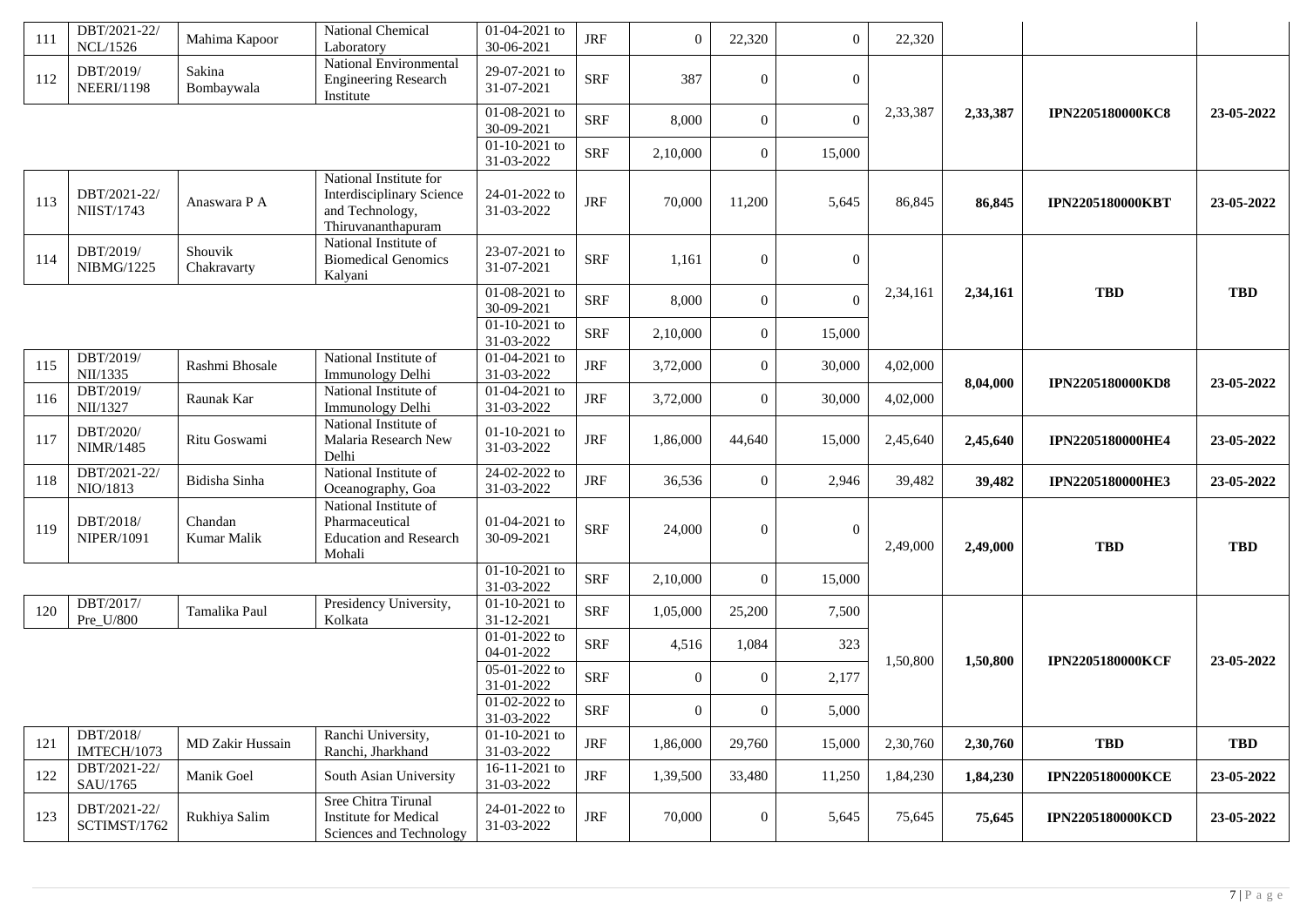| 111 | DBT/2021-22/<br><b>NCL/1526</b>   | Mahima Kapoor          | National Chemical<br>Laboratory                                                                     | 01-04-2021 to<br>30-06-2021              | <b>JRF</b> | $\Omega$       | 22,320         | $\overline{0}$ | 22,320   |          |                         |            |
|-----|-----------------------------------|------------------------|-----------------------------------------------------------------------------------------------------|------------------------------------------|------------|----------------|----------------|----------------|----------|----------|-------------------------|------------|
| 112 | DBT/2019/<br><b>NEERI/1198</b>    | Sakina<br>Bombaywala   | National Environmental<br><b>Engineering Research</b><br>Institute                                  | 29-07-2021 to<br>31-07-2021              | <b>SRF</b> | 387            | $\overline{0}$ | $\overline{0}$ |          |          |                         |            |
|     |                                   |                        |                                                                                                     | 01-08-2021 to<br>30-09-2021              | <b>SRF</b> | 8,000          | $\overline{0}$ | $\theta$       | 2,33,387 | 2,33,387 | <b>IPN2205180000KC8</b> | 23-05-2022 |
|     |                                   |                        |                                                                                                     | $01-10-2021$ to<br>31-03-2022            | <b>SRF</b> | 2,10,000       | $\overline{0}$ | 15,000         |          |          |                         |            |
| 113 | DBT/2021-22/<br><b>NIIST/1743</b> | Anaswara P A           | National Institute for<br><b>Interdisciplinary Science</b><br>and Technology,<br>Thiruvananthapuram | 24-01-2022 to<br>31-03-2022              | <b>JRF</b> | 70,000         | 11,200         | 5,645          | 86,845   | 86,845   | <b>IPN2205180000KBT</b> | 23-05-2022 |
| 114 | DBT/2019/<br><b>NIBMG/1225</b>    | Shouvik<br>Chakravarty | National Institute of<br><b>Biomedical Genomics</b><br>Kalyani                                      | 23-07-2021 to<br>31-07-2021              | <b>SRF</b> | 1,161          | $\overline{0}$ | $\overline{0}$ |          |          |                         |            |
|     |                                   |                        |                                                                                                     | 01-08-2021 to<br>30-09-2021              | <b>SRF</b> | 8,000          | $\overline{0}$ | $\Omega$       | 2,34,161 | 2,34,161 | <b>TBD</b>              | <b>TBD</b> |
|     |                                   |                        |                                                                                                     | $01-10-2021$ to<br>31-03-2022            | <b>SRF</b> | 2,10,000       | $\overline{0}$ | 15,000         |          |          |                         |            |
| 115 | DBT/2019/<br>NII/1335             | Rashmi Bhosale         | National Institute of<br>Immunology Delhi                                                           | 01-04-2021 to<br>31-03-2022              | <b>JRF</b> | 3,72,000       | $\Omega$       | 30,000         | 4,02,000 | 8,04,000 | <b>IPN2205180000KD8</b> | 23-05-2022 |
| 116 | DBT/2019/<br>NII/1327             | Raunak Kar             | National Institute of<br>Immunology Delhi                                                           | $01-04-2021$ to<br>31-03-2022            | $\rm JRF$  | 3,72,000       | $\overline{0}$ | 30,000         | 4,02,000 |          |                         |            |
| 117 | DBT/2020/<br>NIMR/1485            | Ritu Goswami           | National Institute of<br>Malaria Research New<br>Delhi                                              | $01-10-2021$ to<br>31-03-2022            | $\rm JRF$  | 1,86,000       | 44,640         | 15,000         | 2,45,640 | 2,45,640 | <b>IPN2205180000HE4</b> | 23-05-2022 |
| 118 | DBT/2021-22/<br>NIO/1813          | Bidisha Sinha          | National Institute of<br>Oceanography, Goa                                                          | $24-02-2022$ to<br>31-03-2022            | <b>JRF</b> | 36,536         | $\overline{0}$ | 2,946          | 39,482   | 39,482   | <b>IPN2205180000HE3</b> | 23-05-2022 |
| 119 | DBT/2018/<br><b>NIPER/1091</b>    | Chandan<br>Kumar Malik | National Institute of<br>Pharmaceutical<br><b>Education and Research</b><br>Mohali                  | 01-04-2021 to<br>30-09-2021              | <b>SRF</b> | 24,000         | $\Omega$       | $\theta$       | 2,49,000 | 2,49,000 | <b>TBD</b>              | <b>TBD</b> |
|     |                                   |                        |                                                                                                     | 01-10-2021 to<br>31-03-2022              | <b>SRF</b> | 2,10,000       | $\overline{0}$ | 15,000         |          |          |                         |            |
| 120 | DBT/2017/<br>Pre_U/800            | Tamalika Paul          | Presidency University,<br>Kolkata                                                                   | $01-10-2021$ to<br>31-12-2021            | <b>SRF</b> | 1,05,000       | 25,200         | 7,500          |          |          |                         |            |
|     |                                   |                        |                                                                                                     | $\overline{01-01-2022}$ to<br>04-01-2022 | <b>SRF</b> | 4,516          | 1,084          | 323            | 1,50,800 | 1,50,800 | <b>IPN2205180000KCF</b> | 23-05-2022 |
|     |                                   |                        |                                                                                                     | 05-01-2022 to<br>31-01-2022              | <b>SRF</b> | $\mathbf{0}$   | $\overline{0}$ | 2,177          |          |          |                         |            |
|     |                                   |                        |                                                                                                     | 01-02-2022 to<br>31-03-2022              | <b>SRF</b> | $\overline{0}$ | $\overline{0}$ | 5,000          |          |          |                         |            |
| 121 | DBT/2018/<br>IMTECH/1073          | MD Zakir Hussain       | Ranchi University,<br>Ranchi, Jharkhand                                                             | $01-10-2021$ to<br>31-03-2022            | <b>JRF</b> | 1,86,000       | 29,760         | 15,000         | 2,30,760 | 2,30,760 | <b>TBD</b>              | <b>TBD</b> |
| 122 | DBT/2021-22/<br>SAU/1765          | Manik Goel             | South Asian University                                                                              | 16-11-2021 to<br>31-03-2022              | <b>JRF</b> | 1,39,500       | 33,480         | 11,250         | 1,84,230 | 1,84,230 | <b>IPN2205180000KCE</b> | 23-05-2022 |
| 123 | DBT/2021-22/<br>SCTIMST/1762      | Rukhiya Salim          | Sree Chitra Tirunal<br>Institute for Medical<br>Sciences and Technology                             | 24-01-2022 to<br>31-03-2022              | $\rm JRF$  | 70,000         | $\overline{0}$ | 5,645          | 75,645   | 75,645   | <b>IPN2205180000KCD</b> | 23-05-2022 |